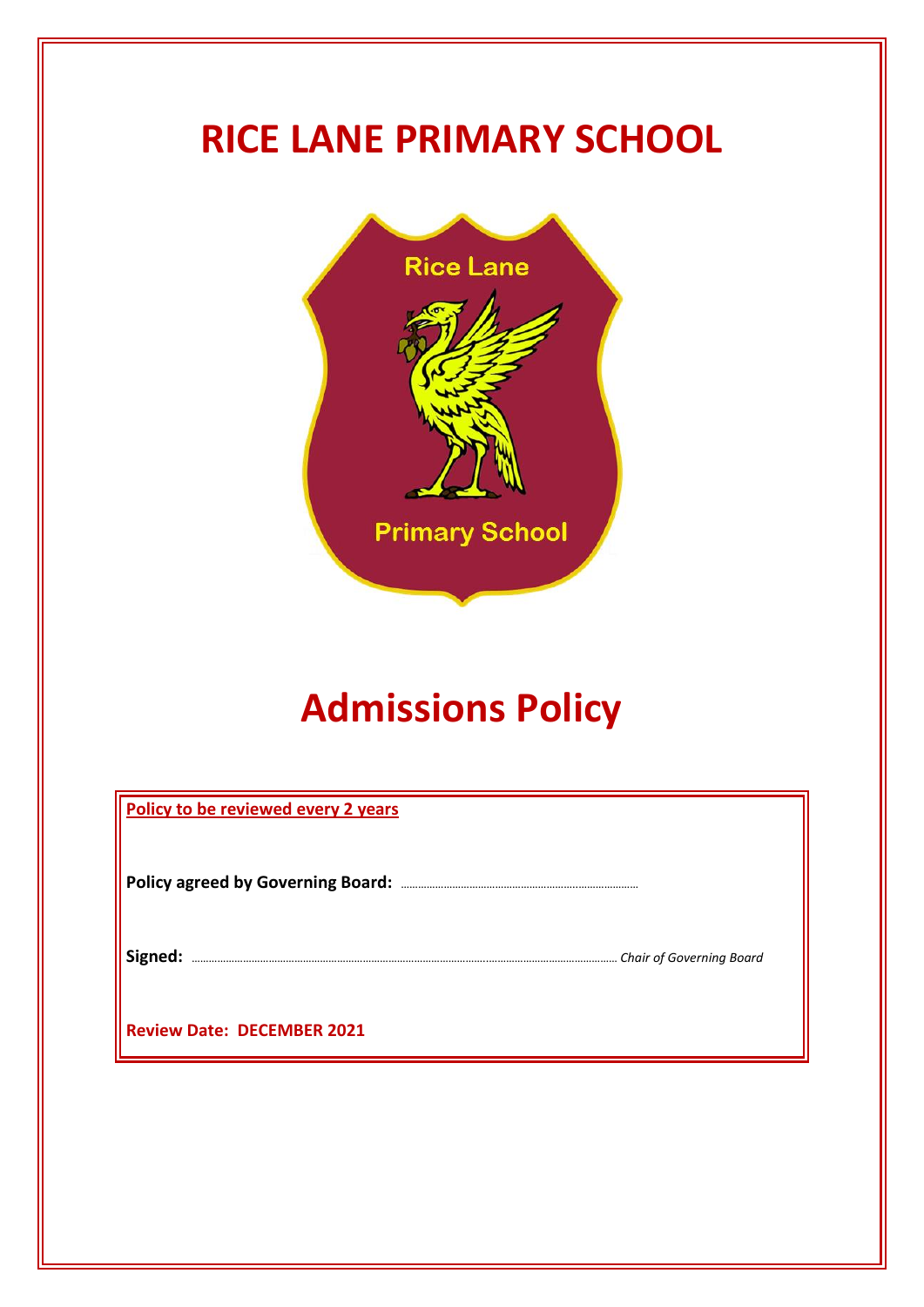# **RICE LANE PRIMARY SCHOOL**



# **Admissions Policy**

| Policy to be reviewed every 2 years |  |
|-------------------------------------|--|
|                                     |  |
|                                     |  |
| <b>Review Date: DECEMBER 2021</b>   |  |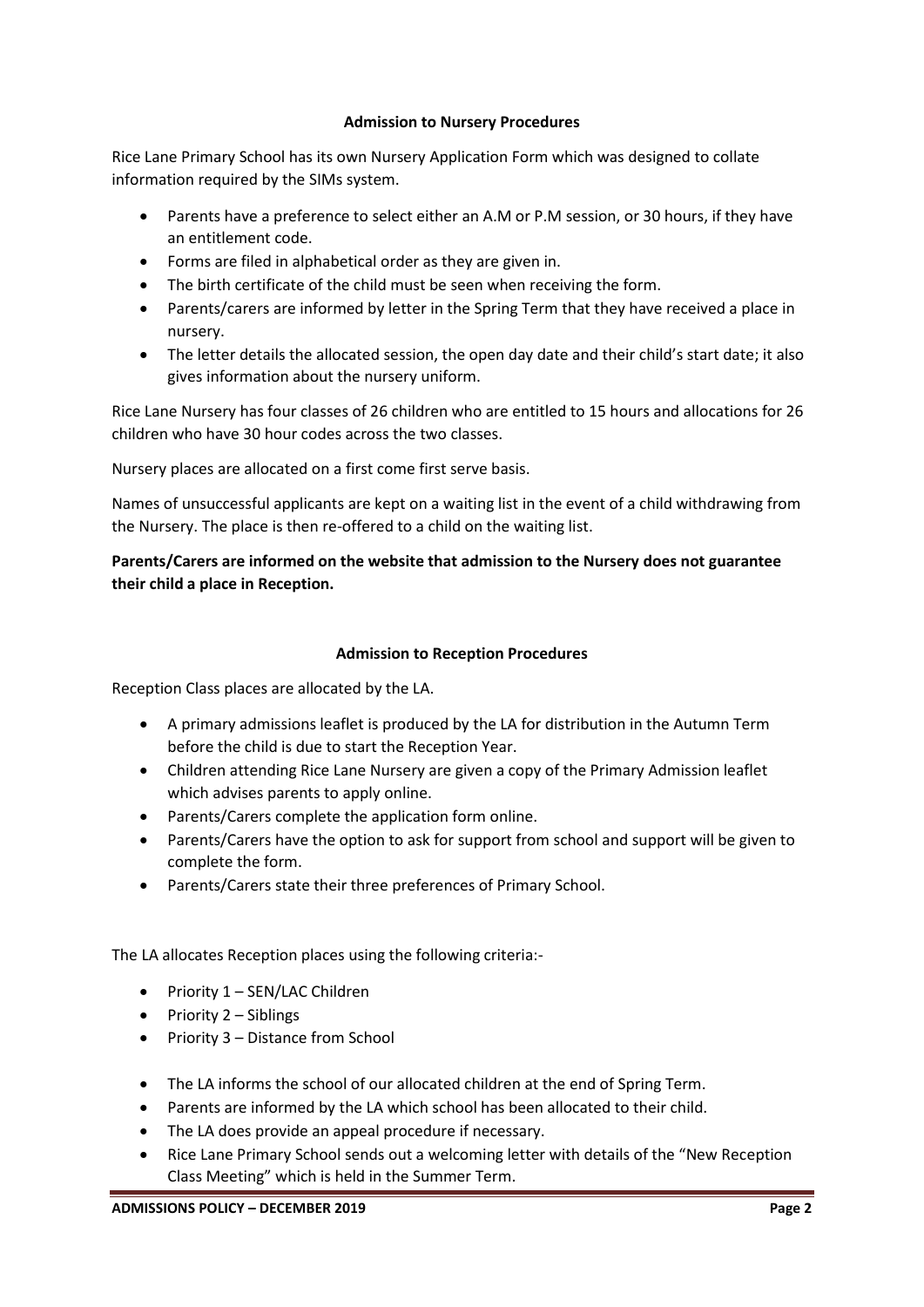### **Admission to Nursery Procedures**

Rice Lane Primary School has its own Nursery Application Form which was designed to collate information required by the SIMs system.

- Parents have a preference to select either an A.M or P.M session, or 30 hours, if they have an entitlement code.
- Forms are filed in alphabetical order as they are given in.
- The birth certificate of the child must be seen when receiving the form.
- Parents/carers are informed by letter in the Spring Term that they have received a place in nursery.
- The letter details the allocated session, the open day date and their child's start date; it also gives information about the nursery uniform.

Rice Lane Nursery has four classes of 26 children who are entitled to 15 hours and allocations for 26 children who have 30 hour codes across the two classes.

Nursery places are allocated on a first come first serve basis.

Names of unsuccessful applicants are kept on a waiting list in the event of a child withdrawing from the Nursery. The place is then re-offered to a child on the waiting list.

## **Parents/Carers are informed on the website that admission to the Nursery does not guarantee their child a place in Reception.**

## **Admission to Reception Procedures**

Reception Class places are allocated by the LA.

- A primary admissions leaflet is produced by the LA for distribution in the Autumn Term before the child is due to start the Reception Year.
- Children attending Rice Lane Nursery are given a copy of the Primary Admission leaflet which advises parents to apply online.
- Parents/Carers complete the application form online.
- Parents/Carers have the option to ask for support from school and support will be given to complete the form.
- Parents/Carers state their three preferences of Primary School.

The LA allocates Reception places using the following criteria:-

- Priority 1 SEN/LAC Children
- Priority 2 Siblings
- Priority 3 Distance from School
- The LA informs the school of our allocated children at the end of Spring Term.
- Parents are informed by the LA which school has been allocated to their child.
- The LA does provide an appeal procedure if necessary.
- Rice Lane Primary School sends out a welcoming letter with details of the "New Reception Class Meeting" which is held in the Summer Term.